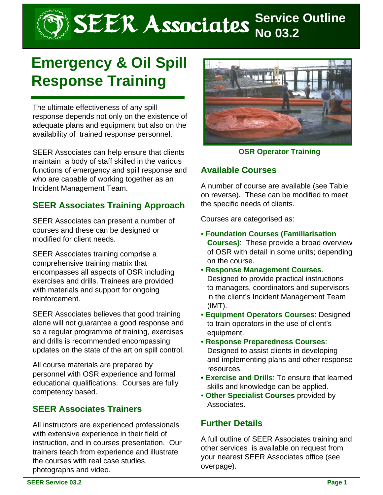# SEER Associates **Service Outline**

# **Emergency & Oil Spill Response Training**

The ultimate effectiveness of any spill response depends not only on the existence of adequate plans and equipment but also on the availability of trained response personnel.

SEER Associates can help ensure that clients maintain a body of staff skilled in the various functions of emergency and spill response and who are capable of working together as an Incident Management Team.

## **SEER Associates Training Approach**

SEER Associates can present a number of courses and these can be designed or modified for client needs.

SEER Associates training comprise a comprehensive training matrix that encompasses all aspects of OSR including exercises and drills. Trainees are provided with materials and support for ongoing reinforcement.

SEER Associates believes that good training alone will not guarantee a good response and so a regular programme of training, exercises and drills is recommended encompassing updates on the state of the art on spill control.

All course materials are prepared by personnel with OSR experience and formal educational qualifications. Courses are fully competency based.

## **SEER Associates Trainers**

All instructors are experienced professionals with extensive experience in their field of instruction, and in courses presentation. Our trainers teach from experience and illustrate the courses with real case studies, photographs and video.



**OSR Operator Training**

#### **Available Courses**

A number of course are available (see Table on reverse)**.** These can be modified to meet the specific needs of clients.

Courses are categorised as:

- **Foundation Courses (Familiarisation Courses)**: These provide a broad overview of OSR with detail in some units; depending on the course.
- **Response Management Courses**. Designed to provide practical instructions to managers, coordinators and supervisors in the client's Incident Management Team (IMT).
- **Equipment Operators Courses**: Designed to train operators in the use of client's equipment.
- **Response Preparedness Courses**: Designed to assist clients in developing and implementing plans and other response resources.
- **Exercise and Drills**: To ensure that learned skills and knowledge can be applied.
- **Other Specialist Courses** provided by Associates.

#### **Further Details**

A full outline of SEER Associates training and other services is available on request from your nearest SEER Associates office (see overpage).